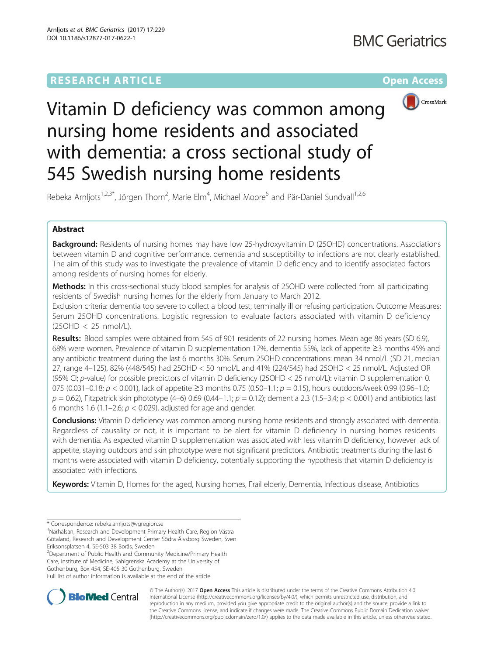

Vitamin D deficiency was common among nursing home residents and associated with dementia: a cross sectional study of 545 Swedish nursing home residents

Rebeka Arnljots<sup>1,2,3\*</sup>, Jörgen Thorn<sup>2</sup>, Marie Elm<sup>4</sup>, Michael Moore<sup>5</sup> and Pär-Daniel Sundvall<sup>1,2,6</sup>

# Abstract

Background: Residents of nursing homes may have low 25-hydroxyvitamin D (25OHD) concentrations. Associations between vitamin D and cognitive performance, dementia and susceptibility to infections are not clearly established. The aim of this study was to investigate the prevalence of vitamin D deficiency and to identify associated factors among residents of nursing homes for elderly.

Methods: In this cross-sectional study blood samples for analysis of 25OHD were collected from all participating residents of Swedish nursing homes for the elderly from January to March 2012.

Exclusion criteria: dementia too severe to collect a blood test, terminally ill or refusing participation. Outcome Measures: Serum 25OHD concentrations. Logistic regression to evaluate factors associated with vitamin D deficiency (25OHD < 25 nmol/L).

Results: Blood samples were obtained from 545 of 901 residents of 22 nursing homes. Mean age 86 years (SD 6.9), 68% were women. Prevalence of vitamin D supplementation 17%, dementia 55%, lack of appetite ≥3 months 45% and any antibiotic treatment during the last 6 months 30%. Serum 25OHD concentrations: mean 34 nmol/L (SD 21, median 27, range 4–125), 82% (448/545) had 25OHD < 50 nmol/L and 41% (224/545) had 25OHD < 25 nmol/L. Adjusted OR (95% CI; p-value) for possible predictors of vitamin D deficiency (25OHD < 25 nmol/L): vitamin D supplementation 0. 075 (0.031–0.18; p < 0.001), lack of appetite ≥3 months 0.75 (0.50–1.1; p = 0.15), hours outdoors/week 0.99 (0.96–1.0;  $p = 0.62$ ), Fitzpatrick skin phototype (4–6) 0.69 (0.44–1.1;  $p = 0.12$ ); dementia 2.3 (1.5–3.4; p < 0.001) and antibiotics last 6 months 1.6 (1.1–2.6;  $p < 0.029$ ), adjusted for age and gender.

**Conclusions:** Vitamin D deficiency was common among nursing home residents and strongly associated with dementia. Regardless of causality or not, it is important to be alert for vitamin D deficiency in nursing homes residents with dementia. As expected vitamin D supplementation was associated with less vitamin D deficiency, however lack of appetite, staying outdoors and skin phototype were not significant predictors. Antibiotic treatments during the last 6 months were associated with vitamin D deficiency, potentially supporting the hypothesis that vitamin D deficiency is associated with infections.

Keywords: Vitamin D, Homes for the aged, Nursing homes, Frail elderly, Dementia, Infectious disease, Antibiotics

<sup>2</sup> Department of Public Health and Community Medicine/Primary Health Care, Institute of Medicine, Sahlgrenska Academy at the University of

Gothenburg, Box 454, SE-405 30 Gothenburg, Sweden

Full list of author information is available at the end of the article



© The Author(s). 2017 **Open Access** This article is distributed under the terms of the Creative Commons Attribution 4.0 International License [\(http://creativecommons.org/licenses/by/4.0/](http://creativecommons.org/licenses/by/4.0/)), which permits unrestricted use, distribution, and reproduction in any medium, provided you give appropriate credit to the original author(s) and the source, provide a link to the Creative Commons license, and indicate if changes were made. The Creative Commons Public Domain Dedication waiver [\(http://creativecommons.org/publicdomain/zero/1.0/](http://creativecommons.org/publicdomain/zero/1.0/)) applies to the data made available in this article, unless otherwise stated.

<sup>\*</sup> Correspondence: [rebeka.arnljots@vgregion.se](mailto:rebeka.arnljots@vgregion.se) <sup>1</sup>

Närhälsan, Research and Development Primary Health Care, Region Västra Götaland, Research and Development Center Södra Älvsborg Sweden, Sven Eriksonsplatsen 4, SE-503 38 Borås, Sweden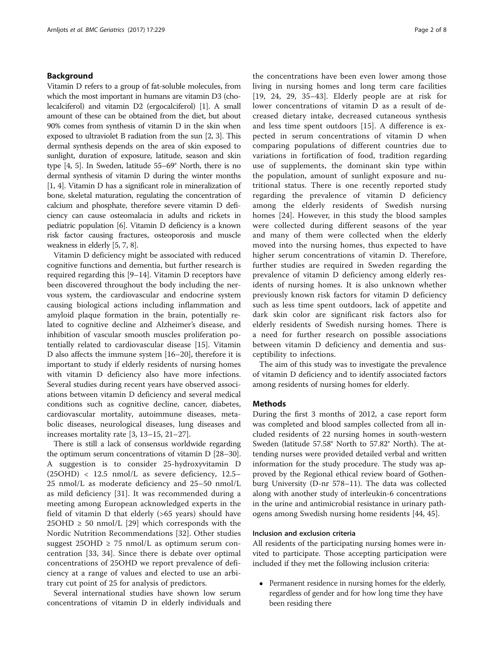# Background

Vitamin D refers to a group of fat-soluble molecules, from which the most important in humans are vitamin D3 (cholecalciferol) and vitamin D2 (ergocalciferol) [\[1](#page-6-0)]. A small amount of these can be obtained from the diet, but about 90% comes from synthesis of vitamin D in the skin when exposed to ultraviolet B radiation from the sun [\[2, 3\]](#page-6-0). This dermal synthesis depends on the area of skin exposed to sunlight, duration of exposure, latitude, season and skin type [\[4, 5](#page-6-0)]. In Sweden, latitude 55–69° North, there is no dermal synthesis of vitamin D during the winter months [[1](#page-6-0), [4](#page-6-0)]. Vitamin D has a significant role in mineralization of bone, skeletal maturation, regulating the concentration of calcium and phosphate, therefore severe vitamin D deficiency can cause osteomalacia in adults and rickets in pediatric population [[6](#page-6-0)]. Vitamin D deficiency is a known risk factor causing fractures, osteoporosis and muscle weakness in elderly [\[5, 7](#page-6-0), [8\]](#page-6-0).

Vitamin D deficiency might be associated with reduced cognitive functions and dementia, but further research is required regarding this [\[9](#page-6-0)–[14](#page-6-0)]. Vitamin D receptors have been discovered throughout the body including the nervous system, the cardiovascular and endocrine system causing biological actions including inflammation and amyloid plaque formation in the brain, potentially related to cognitive decline and Alzheimer's disease, and inhibition of vascular smooth muscles proliferation potentially related to cardiovascular disease [[15\]](#page-6-0). Vitamin D also affects the immune system [[16](#page-6-0)–[20](#page-6-0)], therefore it is important to study if elderly residents of nursing homes with vitamin D deficiency also have more infections. Several studies during recent years have observed associations between vitamin D deficiency and several medical conditions such as cognitive decline, cancer, diabetes, cardiovascular mortality, autoimmune diseases, metabolic diseases, neurological diseases, lung diseases and increases mortality rate [\[3](#page-6-0), [13](#page-6-0)–[15, 21](#page-6-0)–[27\]](#page-6-0).

There is still a lack of consensus worldwide regarding the optimum serum concentrations of vitamin D [\[28](#page-6-0)–[30](#page-6-0)]. A suggestion is to consider 25-hydroxyvitamin D  $(25OHD) < 12.5$  nmol/L as severe deficiency, 12.5– 25 nmol/L as moderate deficiency and 25–50 nmol/L as mild deficiency [[31](#page-6-0)]. It was recommended during a meeting among European acknowledged experts in the field of vitamin D that elderly (>65 years) should have  $25OHD \geq 50$  nmol/L [[29\]](#page-6-0) which corresponds with the Nordic Nutrition Recommendations [[32](#page-6-0)]. Other studies suggest  $25OHD \ge 75$  nmol/L as optimum serum concentration [[33, 34](#page-6-0)]. Since there is debate over optimal concentrations of 25OHD we report prevalence of deficiency at a range of values and elected to use an arbitrary cut point of 25 for analysis of predictors.

Several international studies have shown low serum concentrations of vitamin D in elderly individuals and the concentrations have been even lower among those living in nursing homes and long term care facilities [[19, 24, 29](#page-6-0), [35](#page-6-0)–[43](#page-7-0)]. Elderly people are at risk for lower concentrations of vitamin D as a result of decreased dietary intake, decreased cutaneous synthesis and less time spent outdoors [\[15](#page-6-0)]. A difference is expected in serum concentrations of vitamin D when comparing populations of different countries due to variations in fortification of food, tradition regarding use of supplements, the dominant skin type within the population, amount of sunlight exposure and nutritional status. There is one recently reported study regarding the prevalence of vitamin D deficiency among the elderly residents of Swedish nursing homes [\[24](#page-6-0)]. However, in this study the blood samples were collected during different seasons of the year and many of them were collected when the elderly moved into the nursing homes, thus expected to have higher serum concentrations of vitamin D. Therefore, further studies are required in Sweden regarding the prevalence of vitamin D deficiency among elderly residents of nursing homes. It is also unknown whether previously known risk factors for vitamin D deficiency such as less time spent outdoors, lack of appetite and dark skin color are significant risk factors also for elderly residents of Swedish nursing homes. There is a need for further research on possible associations between vitamin D deficiency and dementia and susceptibility to infections.

The aim of this study was to investigate the prevalence of vitamin D deficiency and to identify associated factors among residents of nursing homes for elderly.

# **Methods**

During the first 3 months of 2012, a case report form was completed and blood samples collected from all included residents of 22 nursing homes in south-western Sweden (latitude 57.58° North to 57.82° North). The attending nurses were provided detailed verbal and written information for the study procedure. The study was approved by the Regional ethical review board of Gothenburg University (D-nr 578–11). The data was collected along with another study of interleukin-6 concentrations in the urine and antimicrobial resistance in urinary pathogens among Swedish nursing home residents [\[44](#page-7-0), [45\]](#page-7-0).

# Inclusion and exclusion criteria

All residents of the participating nursing homes were invited to participate. Those accepting participation were included if they met the following inclusion criteria:

• Permanent residence in nursing homes for the elderly, regardless of gender and for how long time they have been residing there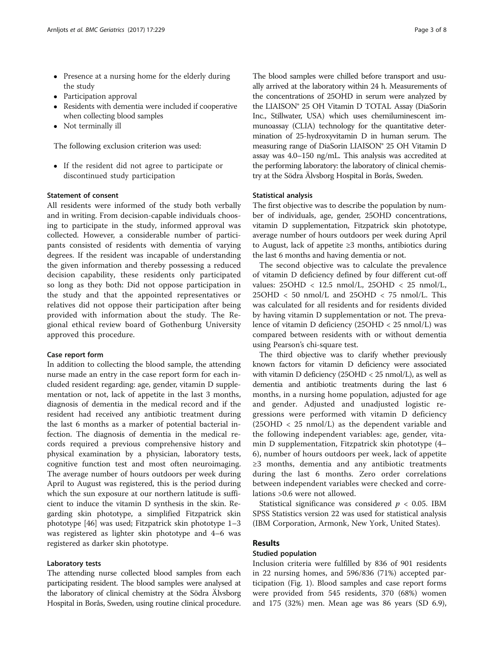- Presence at a nursing home for the elderly during the study
- Participation approval
- Residents with dementia were included if cooperative when collecting blood samples
- Not terminally ill

The following exclusion criterion was used:

 If the resident did not agree to participate or discontinued study participation

# Statement of consent

All residents were informed of the study both verbally and in writing. From decision-capable individuals choosing to participate in the study, informed approval was collected. However, a considerable number of participants consisted of residents with dementia of varying degrees. If the resident was incapable of understanding the given information and thereby possessing a reduced decision capability, these residents only participated so long as they both: Did not oppose participation in the study and that the appointed representatives or relatives did not oppose their participation after being provided with information about the study. The Regional ethical review board of Gothenburg University approved this procedure.

### Case report form

In addition to collecting the blood sample, the attending nurse made an entry in the case report form for each included resident regarding: age, gender, vitamin D supplementation or not, lack of appetite in the last 3 months, diagnosis of dementia in the medical record and if the resident had received any antibiotic treatment during the last 6 months as a marker of potential bacterial infection. The diagnosis of dementia in the medical records required a previous comprehensive history and physical examination by a physician, laboratory tests, cognitive function test and most often neuroimaging. The average number of hours outdoors per week during April to August was registered, this is the period during which the sun exposure at our northern latitude is sufficient to induce the vitamin D synthesis in the skin. Regarding skin phototype, a simplified Fitzpatrick skin phototype [\[46](#page-7-0)] was used; Fitzpatrick skin phototype 1–3 was registered as lighter skin phototype and 4–6 was registered as darker skin phototype.

# Laboratory tests

The attending nurse collected blood samples from each participating resident. The blood samples were analysed at the laboratory of clinical chemistry at the Södra Älvsborg Hospital in Borås, Sweden, using routine clinical procedure. The blood samples were chilled before transport and usually arrived at the laboratory within 24 h. Measurements of the concentrations of 25OHD in serum were analyzed by the LIAISON® 25 OH Vitamin D TOTAL Assay (DiaSorin Inc., Stillwater, USA) which uses chemiluminescent immunoassay (CLIA) technology for the quantitative determination of 25-hydroxyvitamin D in human serum. The measuring range of DiaSorin LIAISON® 25 OH Vitamin D assay was 4.0–150 ng/mL. This analysis was accredited at the performing laboratory: the laboratory of clinical chemistry at the Södra Älvsborg Hospital in Borås, Sweden.

## Statistical analysis

The first objective was to describe the population by number of individuals, age, gender, 25OHD concentrations, vitamin D supplementation, Fitzpatrick skin phototype, average number of hours outdoors per week during April to August, lack of appetite ≥3 months, antibiotics during the last 6 months and having dementia or not.

The second objective was to calculate the prevalence of vitamin D deficiency defined by four different cut-off values: 25OHD < 12.5 nmol/L, 25OHD < 25 nmol/L,  $25OHD < 50$  nmol/L and  $25OHD < 75$  nmol/L. This was calculated for all residents and for residents divided by having vitamin D supplementation or not. The prevalence of vitamin D deficiency (25OHD < 25 nmol/L) was compared between residents with or without dementia using Pearson's chi-square test.

The third objective was to clarify whether previously known factors for vitamin D deficiency were associated with vitamin D deficiency (25OHD < 25 nmol/L), as well as dementia and antibiotic treatments during the last 6 months, in a nursing home population, adjusted for age and gender. Adjusted and unadjusted logistic regressions were performed with vitamin D deficiency (25OHD < 25 nmol/L) as the dependent variable and the following independent variables: age, gender, vitamin D supplementation, Fitzpatrick skin phototype (4– 6), number of hours outdoors per week, lack of appetite ≥3 months, dementia and any antibiotic treatments during the last 6 months. Zero order correlations between independent variables were checked and correlations >0.6 were not allowed.

Statistical significance was considered  $p < 0.05$ . IBM SPSS Statistics version 22 was used for statistical analysis (IBM Corporation, Armonk, New York, United States).

# Results

# Studied population

Inclusion criteria were fulfilled by 836 of 901 residents in 22 nursing homes, and 596/836 (71%) accepted participation (Fig. [1](#page-3-0)). Blood samples and case report forms were provided from 545 residents, 370 (68%) women and 175 (32%) men. Mean age was 86 years (SD 6.9),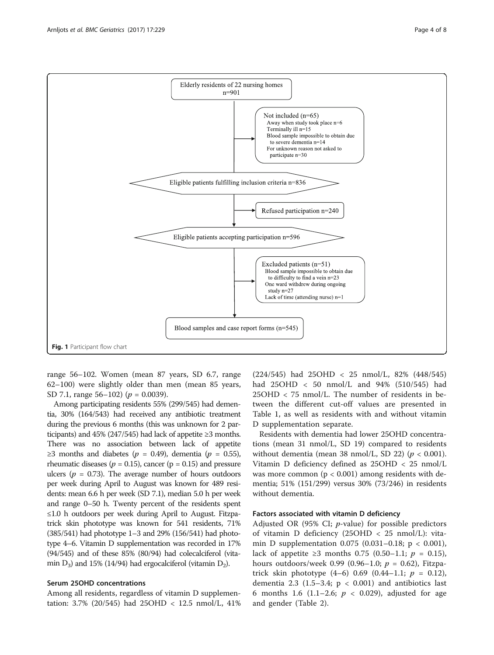<span id="page-3-0"></span>

range 56–102. Women (mean 87 years, SD 6.7, range 62–100) were slightly older than men (mean 85 years, SD 7.1, range 56–102) ( $p = 0.0039$ ).

Among participating residents 55% (299/545) had dementia, 30% (164/543) had received any antibiotic treatment during the previous 6 months (this was unknown for 2 participants) and 45% (247/545) had lack of appetite ≥3 months. There was no association between lack of appetite ≥3 months and diabetes ( $p = 0.49$ ), dementia ( $p = 0.55$ ), rheumatic diseases ( $p = 0.15$ ), cancer ( $p = 0.15$ ) and pressure ulcers ( $p = 0.73$ ). The average number of hours outdoors per week during April to August was known for 489 residents: mean 6.6 h per week (SD 7.1), median 5.0 h per week and range 0–50 h. Twenty percent of the residents spent ≤1.0 h outdoors per week during April to August. Fitzpatrick skin phototype was known for 541 residents, 71% (385/541) had phototype 1–3 and 29% (156/541) had phototype 4–6. Vitamin D supplementation was recorded in 17% (94/545) and of these 85% (80/94) had colecalciferol (vitamin  $D_3$ ) and 15% (14/94) had ergocalciferol (vitamin  $D_2$ ).

# Serum 25OHD concentrations

Among all residents, regardless of vitamin D supplementation: 3.7% (20/545) had 25OHD < 12.5 nmol/L, 41%

(224/545) had 25OHD < 25 nmol/L, 82% (448/545) had 25OHD < 50 nmol/L and 94% (510/545) had 25OHD < 75 nmol/L. The number of residents in between the different cut-off values are presented in Table [1](#page-4-0), as well as residents with and without vitamin D supplementation separate.

Residents with dementia had lower 25OHD concentrations (mean 31 nmol/L, SD 19) compared to residents without dementia (mean 38 nmol/L, SD 22) ( $p < 0.001$ ). Vitamin D deficiency defined as 25OHD < 25 nmol/L was more common ( $p < 0.001$ ) among residents with dementia; 51% (151/299) versus 30% (73/246) in residents without dementia.

# Factors associated with vitamin D deficiency

Adjusted OR (95% CI;  $p$ -value) for possible predictors of vitamin D deficiency (25OHD < 25 nmol/L): vitamin D supplementation  $0.075$  (0.031–0.18; p < 0.001), lack of appetite ≥3 months 0.75 (0.50–1.1;  $p = 0.15$ ), hours outdoors/week 0.99 (0.96–1.0;  $p = 0.62$ ), Fitzpatrick skin phototype  $(4-6)$  0.69  $(0.44-1.1; p = 0.12)$ , dementia 2.3 (1.5–3.4;  $p < 0.001$ ) and antibiotics last 6 months 1.6 (1.1–2.6;  $p < 0.029$ ), adjusted for age and gender (Table [2](#page-4-0)).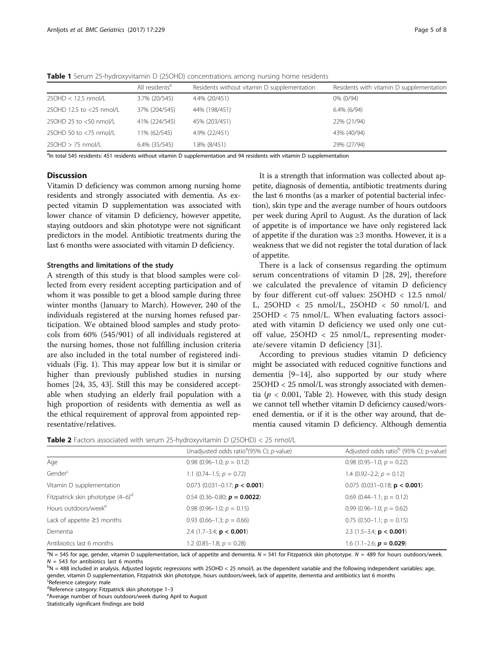<span id="page-4-0"></span>

|  | Table 1 Serum 25-hydroxyvitamin D (25OHD) concentrations among nursing home residents |  |  |  |
|--|---------------------------------------------------------------------------------------|--|--|--|
|--|---------------------------------------------------------------------------------------|--|--|--|

|                          | All residents <sup>a</sup> | Residents without vitamin D supplementation | Residents with vitamin D supplementation |
|--------------------------|----------------------------|---------------------------------------------|------------------------------------------|
| $25OHD < 12.5$ nmol/L    | 3.7% (20/545)              | 4.4% (20/451)                               | 0% (0/94)                                |
| 250HD 12.5 to <25 nmol/L | 37% (204/545)              | 44% (198/451)                               | $6.4\%$ (6/94)                           |
| 250HD 25 to <50 nmol/L   | 41% (224/545)              | 45% (203/451)                               | 22% (21/94)                              |
| 250HD 50 to <75 nmol/L   | 11% (62/545)               | 4.9% (22/451)                               | 43% (40/94)                              |
| $25OHD > 75$ nmol/L      | 6.4% (35/545)              | 1.8% (8/451)                                | 29% (27/94)                              |
|                          |                            |                                             |                                          |

<sup>a</sup>In total 545 residents: 451 residents without vitamin D supplementation and 94 residents with vitamin D supplementation

# **Discussion**

Vitamin D deficiency was common among nursing home residents and strongly associated with dementia. As expected vitamin D supplementation was associated with lower chance of vitamin D deficiency, however appetite, staying outdoors and skin phototype were not significant predictors in the model. Antibiotic treatments during the last 6 months were associated with vitamin D deficiency.

### Strengths and limitations of the study

A strength of this study is that blood samples were collected from every resident accepting participation and of whom it was possible to get a blood sample during three winter months (January to March). However, 240 of the individuals registered at the nursing homes refused participation. We obtained blood samples and study protocols from 60% (545/901) of all individuals registered at the nursing homes, those not fulfilling inclusion criteria are also included in the total number of registered individuals (Fig. [1\)](#page-3-0). This may appear low but it is similar or higher than previously published studies in nursing homes [\[24](#page-6-0), [35,](#page-6-0) [43\]](#page-7-0). Still this may be considered acceptable when studying an elderly frail population with a high proportion of residents with dementia as well as the ethical requirement of approval from appointed representative/relatives.

It is a strength that information was collected about appetite, diagnosis of dementia, antibiotic treatments during the last 6 months (as a marker of potential bacterial infection), skin type and the average number of hours outdoors per week during April to August. As the duration of lack of appetite is of importance we have only registered lack of appetite if the duration was ≥3 months. However, it is a weakness that we did not register the total duration of lack of appetite.

There is a lack of consensus regarding the optimum serum concentrations of vitamin D [\[28](#page-6-0), [29\]](#page-6-0), therefore we calculated the prevalence of vitamin D deficiency by four different cut-off values: 25OHD < 12.5 nmol/ L, 25OHD < 25 nmol/L, 25OHD < 50 nmol/L and 25OHD < 75 nmol/L. When evaluating factors associated with vitamin D deficiency we used only one cutoff value, 25OHD < 25 nmol/L, representing moderate/severe vitamin D deficiency [[31\]](#page-6-0).

According to previous studies vitamin D deficiency might be associated with reduced cognitive functions and dementia [\[9](#page-6-0)–[14](#page-6-0)], also supported by our study where 25OHD < 25 nmol/L was strongly associated with dementia ( $p < 0.001$ , Table 2). However, with this study design we cannot tell whether vitamin D deficiency caused/worsened dementia, or if it is the other way around, that dementia caused vitamin D deficiency. Although dementia

**Table 2** Factors associated with serum 25-hydroxyvitamin D (25OHD) < 25 nmol/L

|                                      | Unadjusted odds ratio <sup><math>a</math></sup> (95% CI; <i>p</i> -value) | Adjusted odds ratio <sup>b</sup> (95% CI; p-value) |
|--------------------------------------|---------------------------------------------------------------------------|----------------------------------------------------|
| Age                                  | $0.98$ (0.96-1.0; $p = 0.12$ )                                            | $0.98$ (0.95-1.0; $p = 0.22$ )                     |
| Gender <sup>c</sup>                  | 1.1 $(0.74-1.5; p = 0.72)$                                                | 1.4 $(0.92-2.2; p = 0.12)$                         |
| Vitamin D supplementation            | $0.073$ (0.031-0.17; $p < 0.001$ )                                        | $0.075(0.031-0.18; \mathbf{p} < 0.001)$            |
| Fitzpatrick skin phototype $(4-6)^d$ | $0.54$ (0.36–0.80; $p = 0.0022$ )                                         | $0.69$ (0.44–1.1; $p = 0.12$ )                     |
| Hours outdoors/week <sup>e</sup>     | $0.98$ (0.96-1.0; $p = 0.15$ )                                            | $0.99(0.96-1.0; p = 0.62)$                         |
| Lack of appetite $\geq$ 3 months     | $0.93$ (0.66–1.3; $p = 0.66$ )                                            | $0.75$ (0.50-1.1; $p = 0.15$ )                     |
| Dementia                             | 2.4 $(1.7-3.4; \mathbf{p} < 0.001)$                                       | 2.3 $(1.5-3.4; \mathbf{p} < 0.001)$                |
| Antibiotics last 6 months            | 1.2 $(0.85-1.8; p = 0.28)$                                                | 1.6 (1.1–2.6; $p = 0.029$ )                        |
|                                      |                                                                           |                                                    |

 $a_{\rm I}$  = 545 for age, gender, vitamin D supplementation, lack of appetite and dementia. N = 541 for Fitzpatrick skin phototype. N = 489 for hours outdoors/week  $N = 543$  for antibiotics last 6 months

 $bN = 488$  included in analysis. Adjusted logistic regressions with 25OHD < 25 nmol/L as the dependent variable and the following independent variables: age, gender, vitamin D supplementation, Fitzpatrick skin phototype, hours outdoors/week, lack of appetite, dementia and antibiotics last 6 months <sup>c</sup>Reference category: male

Average number of hours outdoors/week during April to August

Statistically significant findings are bold

<sup>&</sup>lt;sup>d</sup>Reference category: Fitzpatrick skin phototype 1–3<br>EAverage number of bours outdoors/week during A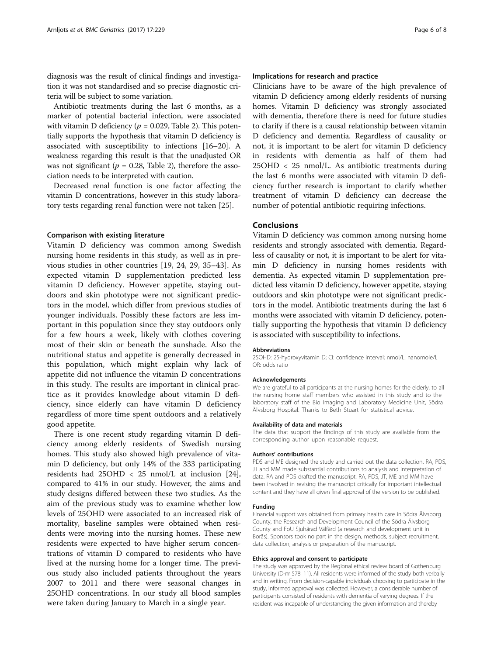diagnosis was the result of clinical findings and investigation it was not standardised and so precise diagnostic criteria will be subject to some variation.

Antibiotic treatments during the last 6 months, as a marker of potential bacterial infection, were associated with vitamin D deficiency ( $p = 0.029$ , Table [2\)](#page-4-0). This potentially supports the hypothesis that vitamin D deficiency is associated with susceptibility to infections [\[16](#page-6-0)–[20](#page-6-0)]. A weakness regarding this result is that the unadjusted OR was not significant ( $p = 0.28$ , Table [2\)](#page-4-0), therefore the association needs to be interpreted with caution.

Decreased renal function is one factor affecting the vitamin D concentrations, however in this study laboratory tests regarding renal function were not taken [[25\]](#page-6-0).

### Comparison with existing literature

Vitamin D deficiency was common among Swedish nursing home residents in this study, as well as in previous studies in other countries [\[19](#page-6-0), [24, 29, 35](#page-6-0)–[43\]](#page-7-0). As expected vitamin D supplementation predicted less vitamin D deficiency. However appetite, staying outdoors and skin phototype were not significant predictors in the model, which differ from previous studies of younger individuals. Possibly these factors are less important in this population since they stay outdoors only for a few hours a week, likely with clothes covering most of their skin or beneath the sunshade. Also the nutritional status and appetite is generally decreased in this population, which might explain why lack of appetite did not influence the vitamin D concentrations in this study. The results are important in clinical practice as it provides knowledge about vitamin D deficiency, since elderly can have vitamin D deficiency regardless of more time spent outdoors and a relatively good appetite.

There is one recent study regarding vitamin D deficiency among elderly residents of Swedish nursing homes. This study also showed high prevalence of vitamin D deficiency, but only 14% of the 333 participating residents had 25OHD < 25 nmol/L at inclusion [\[24](#page-6-0)], compared to 41% in our study. However, the aims and study designs differed between these two studies. As the aim of the previous study was to examine whether low levels of 25OHD were associated to an increased risk of mortality, baseline samples were obtained when residents were moving into the nursing homes. These new residents were expected to have higher serum concentrations of vitamin D compared to residents who have lived at the nursing home for a longer time. The previous study also included patients throughout the years 2007 to 2011 and there were seasonal changes in 25OHD concentrations. In our study all blood samples were taken during January to March in a single year.

## Implications for research and practice

Clinicians have to be aware of the high prevalence of vitamin D deficiency among elderly residents of nursing homes. Vitamin D deficiency was strongly associated with dementia, therefore there is need for future studies to clarify if there is a causal relationship between vitamin D deficiency and dementia. Regardless of causality or not, it is important to be alert for vitamin D deficiency in residents with dementia as half of them had 25OHD < 25 nmol/L. As antibiotic treatments during the last 6 months were associated with vitamin D deficiency further research is important to clarify whether treatment of vitamin D deficiency can decrease the number of potential antibiotic requiring infections.

# Conclusions

Vitamin D deficiency was common among nursing home residents and strongly associated with dementia. Regardless of causality or not, it is important to be alert for vitamin D deficiency in nursing homes residents with dementia. As expected vitamin D supplementation predicted less vitamin D deficiency, however appetite, staying outdoors and skin phototype were not significant predictors in the model. Antibiotic treatments during the last 6 months were associated with vitamin D deficiency, potentially supporting the hypothesis that vitamin D deficiency is associated with susceptibility to infections.

#### Abbreviations

25OHD: 25-hydroxyvitamin D; CI: confidence interval; nmol/L: nanomole/l; OR: odds ratio

#### Acknowledgements

We are grateful to all participants at the nursing homes for the elderly, to all the nursing home staff members who assisted in this study and to the laboratory staff of the Bio Imaging and Laboratory Medicine Unit, Södra Älvsborg Hospital. Thanks to Beth Stuart for statistical advice.

### Availability of data and materials

The data that support the findings of this study are available from the corresponding author upon reasonable request.

#### Authors' contributions

PDS and ME designed the study and carried out the data collection. RA, PDS, JT and MM made substantial contributions to analysis and interpretation of data. RA and PDS drafted the manuscript. RA, PDS, JT, ME and MM have been involved in revising the manuscript critically for important intellectual content and they have all given final approval of the version to be published.

#### Funding

Financial support was obtained from primary health care in Södra Älvsborg County, the Research and Development Council of the Södra Älvsborg County and FoU Sjuhärad Välfärd (a research and development unit in Borås). Sponsors took no part in the design, methods, subject recruitment, data collection, analysis or preparation of the manuscript.

#### Ethics approval and consent to participate

The study was approved by the Regional ethical review board of Gothenburg University (D-nr 578–11). All residents were informed of the study both verbally and in writing. From decision-capable individuals choosing to participate in the study, informed approval was collected. However, a considerable number of participants consisted of residents with dementia of varying degrees. If the resident was incapable of understanding the given information and thereby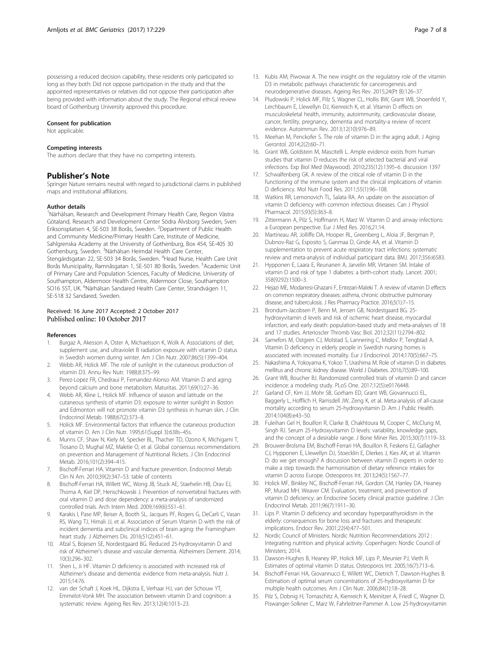<span id="page-6-0"></span>possessing a reduced decision capability, these residents only participated so long as they both: Did not oppose participation in the study and that the appointed representatives or relatives did not oppose their participation after being provided with information about the study. The Regional ethical review board of Gothenburg University approved this procedure.

# Consent for publication

Not applicable.

### Competing interests

The authors declare that they have no competing interests.

### Publisher's Note

Springer Nature remains neutral with regard to jurisdictional claims in published maps and institutional affiliations.

#### Author details

<sup>1</sup>Närhälsan, Research and Development Primary Health Care, Region Västra Götaland, Research and Development Center Södra Älvsborg Sweden, Sven Eriksonsplatsen 4, SE-503 38 Borås, Sweden. <sup>2</sup>Department of Public Health and Community Medicine/Primary Health Care, Institute of Medicine, Sahlgrenska Academy at the University of Gothenburg, Box 454, SE-405 30 Gothenburg, Sweden. <sup>3</sup>Närhälsan Heimdal Health Care Center, Stengärdsgatan 22, SE-503 34 Borås, Sweden. <sup>4</sup>Head Nurse, Health Care Unit Borås Municipality, Ramnåsgatan 1, SE-501 80 Borås, Sweden. <sup>5</sup>Academic Unit of Primary Care and Population Sciences, Faculty of Medicine, University of Southampton, Aldermoor Health Centre, Aldermoor Close, Southampton SO16 5ST, UK. <sup>6</sup>Närhälsan Sandared Health Care Center, Strandvägen 11, SE-518 32 Sandared, Sweden.

# Received: 16 June 2017 Accepted: 2 October 2017 Published online: 10 October 2017

#### References

- 1. Burgaz A, Akesson A, Oster A, Michaelsson K, Wolk A. Associations of diet, supplement use, and ultraviolet B radiation exposure with vitamin D status in Swedish women during winter. Am J Clin Nutr. 2007;86(5):1399–404.
- 2. Webb AR, Holick MF. The role of sunlight in the cutaneous production of vitamin D3. Annu Rev Nutr. 1988;8:375–99.
- Perez-Lopez FR, Chedraui P, Fernandez-Alonso AM. Vitamin D and aging: beyond calcium and bone metabolism. Maturitas. 2011;69(1):27–36.
- 4. Webb AR, Kline L, Holick MF. Influence of season and latitude on the cutaneous synthesis of vitamin D3: exposure to winter sunlight in Boston and Edmonton will not promote vitamin D3 synthesis in human skin. J Clin Endocrinol Metab. 1988;67(2):373–8.
- 5. Holick MF. Environmental factors that influence the cutaneous production of vitamin D. Am J Clin Nutr. 1995;61(Suppl 3):638s–45s.
- 6. Munns CF, Shaw N, Kiely M, Specker BL, Thacher TD, Ozono K, Michigami T, Tiosano D, Mughal MZ, Makitie O, et al. Global consensus recommendations on prevention and Management of Nutritional Rickets. J Clin Endocrinol Metab. 2016;101(2):394–415.
- 7. Bischoff-Ferrari HA. Vitamin D and fracture prevention. Endocrinol Metab Clin N Am. 2010;39(2):347–53. table of contents
- Bischoff-Ferrari HA, Willett WC, Wong JB, Stuck AE, Staehelin HB, Orav EJ, Thoma A, Kiel DP, Henschkowski J. Prevention of nonvertebral fractures with oral vitamin D and dose dependency: a meta-analysis of randomized controlled trials. Arch Intern Med. 2009;169(6):551–61.
- Karakis I, Pase MP, Beiser A, Booth SL, Jacques PF, Rogers G, DeCarli C, Vasan RS, Wang TJ, Himali JJ, et al. Association of Serum Vitamin D with the risk of incident dementia and subclinical indices of brain aging: the Framingham heart study. J Alzheimers Dis. 2016;51(2):451–61.
- 10. Afzal S, Bojesen SE, Nordestgaard BG. Reduced 25-hydroxyvitamin D and risk of Alzheimer's disease and vascular dementia. Alzheimers Dement. 2014; 10(3):296–302.
- 11. Shen L, Ji HF. Vitamin D deficiency is associated with increased risk of Alzheimer's disease and dementia: evidence from meta-analysis. Nutr J. 2015;14:76.
- 12. van der Schaft J, Koek HL, Dijkstra E, Verhaar HJ, van der Schouw YT, Emmelot-Vonk MH. The association between vitamin D and cognition: a systematic review. Ageing Res Rev. 2013;12(4):1013–23.
- 13. Kubis AM, Piwowar A. The new insight on the regulatory role of the vitamin D3 in metabolic pathways characteristic for cancerogenesis and neurodegenerative diseases. Ageing Res Rev. 2015;24(Pt B):126–37.
- 14. Pludowski P, Holick MF, Pilz S, Wagner CL, Hollis BW, Grant WB, Shoenfeld Y, Lerchbaum E, Llewellyn DJ, Kienreich K, et al. Vitamin D effects on musculoskeletal health, immunity, autoimmunity, cardiovascular disease, cancer, fertility, pregnancy, dementia and mortality-a review of recent evidence. Autoimmun Rev. 2013;12(10):976–89.
- 15. Meehan M, Penckofer S. The role of vitamin D in the aging adult. J Aging Gerontol. 2014;2(2):60–71.
- 16. Grant WB, Goldstein M, Mascitelli L. Ample evidence exists from human studies that vitamin D reduces the risk of selected bacterial and viral infections. Exp Biol Med (Maywood). 2010;235(12):1395–6. discussion 1397
- 17. Schwalfenberg GK. A review of the critical role of vitamin D in the functioning of the immune system and the clinical implications of vitamin D deficiency. Mol Nutr Food Res. 2011;55(1):96–108.
- 18. Watkins RR, Lemonovich TL, Salata RA. An update on the association of vitamin D deficiency with common infectious diseases. Can J Physiol Pharmacol. 2015;93(5):363–8.
- 19. Zittermann A, Pilz S, Hoffmann H, Marz W. Vitamin D and airway infections: a European perspective. Eur J Med Res. 2016;21:14.
- 20. Martineau AR, Jolliffe DA, Hooper RL, Greenberg L, Aloia JF, Bergman P, Dubnov-Raz G, Esposito S, Ganmaa D, Ginde AA, et al. Vitamin D supplementation to prevent acute respiratory tract infections: systematic review and meta-analysis of individual participant data. BMJ. 2017;356:i6583.
- 21. Hypponen E, Laara E, Reunanen A, Jarvelin MR, Virtanen SM. Intake of vitamin D and risk of type 1 diabetes: a birth-cohort study. Lancet. 2001; 358(9292):1500–3.
- 22. Hejazi ME, Modarresi-Ghazani F, Entezari-Maleki T. A review of vitamin D effects on common respiratory diseases: asthma, chronic obstructive pulmonary disease, and tuberculosis. J Res Pharmacy Practice. 2016;5(1):7–15.
- 23. Brondum-Jacobsen P, Benn M, Jensen GB, Nordestgaard BG. 25 hydroxyvitamin d levels and risk of ischemic heart disease, myocardial infarction, and early death: population-based study and meta-analyses of 18 and 17 studies. Arterioscler Thromb Vasc Biol. 2012;32(11):2794–802.
- 24. Samefors M, Ostgren CJ, Molstad S, Lannering C, Midlov P, Tengblad A. Vitamin D deficiency in elderly people in Swedish nursing homes is associated with increased mortality. Eur J Endocrinol. 2014;170(5):667–75.
- 25. Nakashima A, Yokoyama K, Yokoo T, Urashima M. Role of vitamin D in diabetes mellitus and chronic kidney disease. World J Diabetes. 2016;7(5):89–100.
- 26. Grant WB, Boucher BJ. Randomized controlled trials of vitamin D and cancer incidence: a modeling study. PLoS One. 2017;12(5):e0176448.
- 27. Garland CF, Kim JJ, Mohr SB, Gorham ED, Grant WB, Giovannucci EL, Baggerly L, Hofflich H, Ramsdell JW, Zeng K, et al. Meta-analysis of all-cause mortality according to serum 25-hydroxyvitamin D. Am J Public Health. 2014;104(8):e43–50.
- 28. Fuleihan Gel H, Bouillon R, Clarke B, Chakhtoura M, Cooper C, McClung M, Singh RJ. Serum 25-Hydroxyvitamin D levels: variability, knowledge gaps, and the concept of a desirable range. J Bone Miner Res. 2015;30(7):1119–33.
- 29. Brouwer-Brolsma EM, Bischoff-Ferrari HA, Bouillon R, Feskens EJ, Gallagher CJ, Hypponen E, Llewellyn DJ, Stoecklin E, Dierkes J, Kies AK, et al. Vitamin D: do we get enough? A discussion between vitamin D experts in order to make a step towards the harmonisation of dietary reference intakes for vitamin D across Europe. Osteoporos Int. 2013;24(5):1567–77.
- 30. Holick MF, Binkley NC, Bischoff-Ferrari HA, Gordon CM, Hanley DA, Heaney RP, Murad MH, Weaver CM. Evaluation, treatment, and prevention of vitamin D deficiency: an Endocrine Society clinical practice guideline. J Clin Endocrinol Metab. 2011;96(7):1911–30.
- 31. Lips P. Vitamin D deficiency and secondary hyperparathyroidism in the elderly: consequences for bone loss and fractures and therapeutic implications. Endocr Rev. 2001;22(4):477–501.
- 32. Nordic Council of Ministers. Nordic Nutrition Recommendations 2012 : Integrating nutrition and physical activity. Copenhagen: Nordic Council of Ministers; 2014.
- 33. Dawson-Hughes B, Heaney RP, Holick MF, Lips P, Meunier PJ, Vieth R. Estimates of optimal vitamin D status. Osteoporos Int. 2005;16(7):713–6.
- 34. Bischoff-Ferrari HA, Giovannucci E, Willett WC, Dietrich T, Dawson-Hughes B. Estimation of optimal serum concentrations of 25-hydroxyvitamin D for multiple health outcomes. Am J Clin Nutr. 2006;84(1):18–28.
- 35. Pilz S, Dobnig H, Tomaschitz A, Kienreich K, Meinitzer A, Friedl C, Wagner D, Piswanger-Solkner C, Marz W, Fahrleitner-Pammer A. Low 25-hydroxyvitamin